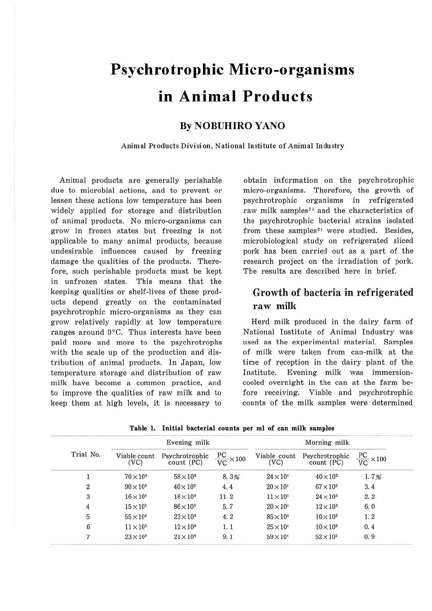# **Psychrotrophic Micro-organisms in Animal Products**

### **By NOBUHIRO YANO**

**Animal Products Division, National Institute of Animal Industry** 

Animal products are generally perishable due to microbial actions, and to prevent or lessen these actions low temperature has been widely applied for storage and distribution of animal products. No micro-organisms can grow in frozen states but freezing is not applicable to many animal products, because undesirable influences caused by freezing damage the qualities of the products. Therefore, such perishable products must be kept in unfrozen states. This means that the keeping qualities or shelf-lives of these products depend greatly on the contaminated psychrotrophic micro-organisms as they can grow relatively rapidly at low temperature ranges around 0°C. Thus interests have been paid more and more to the psychrotrophs with the scale up of the production and distribution of animal products. In Japan, low temperature storage and distribution of raw milk have become a common practice, and to improve the qualities of raw milk and to keep them at high levels, it is necessary to

obtain information on the psychrotrophic micro-organisms. Therefore, the growth of psychrotrophic organisms in refrigerated raw milk samples<sup>1)</sup> and the characteristics of the psychrotrophic bacterial strains isolated from these samples<sup>2)</sup> were studied. Besides, microbiological study on refrigerated sliced pork has been carried out as a part of the research project on the irradiation of pork. The results are described here in brief.

# Growth of bacteria in refrigerated **raw milk**

Herd milk produced in the dairy farm of National Institute of Animal Industry was used as the experimental material. Samples of milk were taken from can-milk at the time of reception in the dairy plant of the Institute. Evening milk was immersioncooled overnight in the can at the farm before receiving. Viable and psychrotrophic counts of the milk samples were determined

| Trial No. |                    | Evening milk                                    |                            | Morning milk       |                                           |                            |  |  |
|-----------|--------------------|-------------------------------------------------|----------------------------|--------------------|-------------------------------------------|----------------------------|--|--|
|           | (VC)               | Viable count Psychrotrophic<br>$count$ ( $PC$ ) | $\frac{PC}{VC} \times 100$ | (VC)               | Viable count Psychrotrophic<br>count (PC) | $\frac{PC}{VC} \times 100$ |  |  |
|           | $70 \times 10^{4}$ | $58 \times 10^{3}$                              | 8.3%                       | $24 \times 10^{4}$ | $40\times10^2$                            | 1.7%                       |  |  |

 $90 \times 10^3$   $40 \times 10^2$   $4.4$   $20 \times 10^4$   $67 \times 10^2$  3.4  $16 \times 10^5$   $18 \times 10^4$  11. 2  $11 \times 10^5$   $24 \times 10^3$  2. 2  $4 \t 15 \times 10^5 \t 86 \times 10^3 \t 5.7 \t 20 \times 10^4 \t 12 \times 10^3 \t 6.0$  $55 \times 10^4$   $23 \times 10^3$   $4.2$   $85 \times 10^3$   $10 \times 10^2$  1. 2  $11 \times 10^5$   $12 \times 10^3$  1.1  $25 \times 10^4$   $10 \times 10^2$  0.4  $23 \times 10^5$   $21 \times 10^4$  9.1  $59 \times 10^4$   $52 \times 10^2$  0.9

**Table 1. Initial bacterial counts per ml of can milk samples**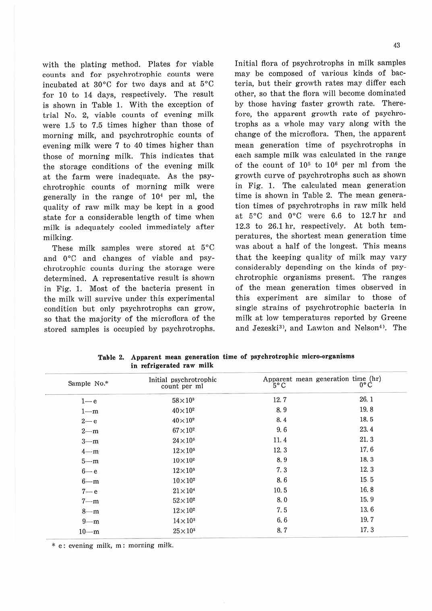with the plating method. Plates for viable counts and for psychrotrophic counts were incubated at 30°C for two days and at 5°C for 10 to 14 days, respectively. The result is shown in Table 1. With the exception of trial No. 2, viable counts of evening milk were 1.5 to 7.5 times higher than those of morning milk, and psychrotrophic counts of evening milk were 7 to 40 times higher than those of morning milk. This indicates that the storage conditions of the evening milk at the farm were inadequate. As the psychrotrophic counts of morning milk were generally in the range of 104 per ml, the quality of raw milk may be kept in a good state for a considerable length of time when milk is adequately cooled immediately after milking.

These milk samples were stored at 5°C and 0°C and changes of viable and psychrotrophic counts during the storage were determined. A representative result is shown in Fig. 1. Most of the bacteria present in the milk will survive under this experimental condition but only psychrotrophs can grow, so that the majority of the microflora of the stored samples is occupied by psychrotrophs.

Initial flora of psychrotrophs in milk samples may be composed of various kinds of bacteria, but their growth rates may differ each other, so that the flora will become dominated by those having faster growth rate. Therefore, the apparent growth rate of psychrotrophs as a whole may vary along with the change of the microflora. Then, the apparent mean generation time of psychrotrophs in each sample milk was calculated in the range of the count of  $10<sup>5</sup>$  to  $10<sup>6</sup>$  per ml from the growth curve of psychrotrophs such as shown in Fig. 1. The calculated mean generation time is shown in Table 2. The mean generation times of psychrotrophs in raw milk held at *5°C* and *0°C* were 6.6 to 12.7 hr and 12.3 to 26.1 hr, respectively. At both temperatures, the shortest mean generation time was about a half of the longest. This means that the keeping quality of milk may vary considerably depending on the kinds of psychrotrophic organisms present. The ranges of the mean generation times observed in this experiment are similar to those of single strains of psychrotrophic bacteria in milk at low temperatures reported by Greene and Jezeski<sup>3)</sup>, and Lawton and Nelson<sup>4</sup>). The

| Sample No.* | Initial psychrotrophic<br>count per ml | Apparent mean generation time (hr)<br>$5^{\circ}$ C | $0^{\circ}$ C |
|-------------|----------------------------------------|-----------------------------------------------------|---------------|
| $1 - e$     | $58\times10^3$                         | 12.7                                                | 26.1          |
| $1 - m$     | $40\times10^2$                         | 8.9                                                 | 19.8          |
| $2 - e$     | $40\times10^2$                         | 8.4                                                 | 18.5          |
| $2 - m$     | $67\times10^{2}$                       | 9.6                                                 | 23.4          |
| $3 - m$     | $24\times10^3$                         | 11.4                                                | 21.3          |
| $4 - m$     | $12\times10^3$                         | 12.3                                                | 17.6          |
| $5 - m$     | $10\times10^2$                         | 8.9                                                 | 18.3          |
| $6 - e$     | $12\times10^3$                         | 7.3                                                 | 12.3          |
| $6 - m$     | $10\times10^2$                         | 8.6                                                 | 15.5          |
| $7 - e$     | $21\times10^4$                         | 10.5                                                | 16.8          |
| $7 - m$     | $52\times10^2$                         | 8.0                                                 | 15.9          |
| $8 - m$     | $12\times10^2$                         | 7.5                                                 | 13.6          |
| $9 - m$     | $14\times10^3$                         | 6.6                                                 | 19.7          |
| $10-m$      | $25\times10^3$                         | 8.7                                                 | 17.3          |

**Table 2. Apparent mean generation time of psychrotrophic micro-organisms**  in **refrigerated raw milk** 

\* e: evening milk, m : morning milk.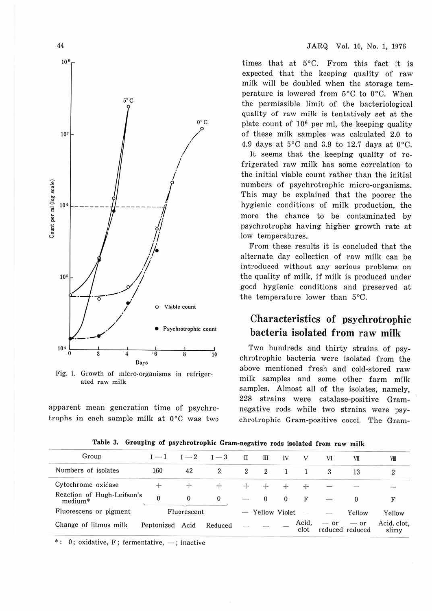

Fig. 1. Growth of micro-organisms in refrigerated raw milk

apparent mean generation time of psychrotrophs in each sample milk at 0°C was two

times that at 5°C. From this fact it is expected that the keeping quality of raw milk will be doubled when the storage temperature is lowered from 5°C to 0°C. When the permissible limit of the bacteriological quality of raw milk is tentatively set at the plate count of  $10<sup>6</sup>$  per ml, the keeping quality of these milk samples was calculated 2.0 to 4.9 days at  $5^{\circ}$ C and 3.9 to 12.7 days at 0 $^{\circ}$ C.

It seems that the keeping quality of refrigerated raw milk has some correlation to the initial viable count rather than the initial numbers of psychrotrophic micro-organisms. This may be explained that the poorer the hygienic conditions of milk production, the more the chance to be contaminated by psychrotrophs having higher growth rate at low temperatures.

From these results it is concluded that the altemate day collection of raw milk can be introduced without any serious problems on the quality of milk, if milk is produced under good hygienic conditions and preserved at the temperature lower than 5°C.

# Characteristics of psychrotrophic bacteria isolated from raw milk

Two hundreds and thirty strains of psychrotrophic bacteria were isolated from the above mentioned fresh and cold-stored raw milk samples and some other farm milk samples. Almost all of the isolates, namely, 228 strains were catalase-positive Gramnegative rods while two strains were psychrotrophic Gram-positive cocci. The Gram-

| Group                                 | Count of   | $I-2$       | $-3$    | Π              | Ш               | IV       |               | VІ                       | VII                                 | VШ                   |
|---------------------------------------|------------|-------------|---------|----------------|-----------------|----------|---------------|--------------------------|-------------------------------------|----------------------|
| Numbers of isolates                   | 160        | 42          | 2       | 2              | $\overline{2}$  |          |               | 3                        | 13                                  |                      |
| Cytochrome oxidase                    |            |             |         |                |                 |          |               | $\overline{\phantom{0}}$ |                                     | $\overline{a}$       |
| Reaction of Hugh-Leifson's<br>medium* | $\dot{0}$  |             |         | <b>Service</b> | $\Omega$        | $\bf{0}$ | F             | $\overline{\phantom{a}}$ | 0                                   |                      |
| Fluorescens or pigment                |            | Fluorescent |         |                | - Yellow Violet |          |               | $-$                      | Yellow                              | Yellow               |
| Change of litmus milk                 | Peptonized | Acid        | Reduced | $\equiv$       |                 |          | Acid,<br>clot | $-$ or                   | $\rightarrow$ or<br>reduced reduced | Acid, clot,<br>slimy |

**Table 3. Grouping of psychrotrophic Gram-negative rods isolated from raw milk** 

 $*$ : 0; oxidative, F; fermentative,  $-$ ; inactive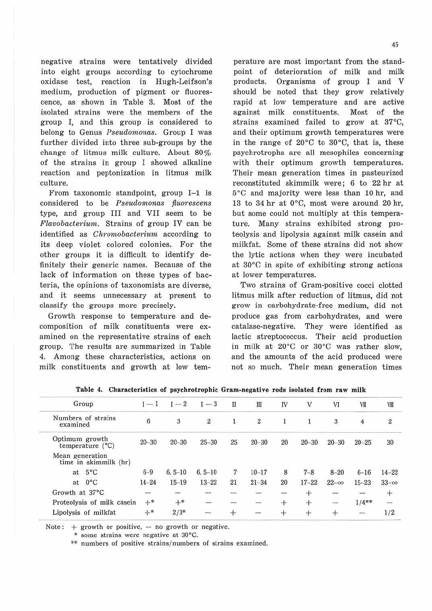negative strains were tentatively divided into eight groups according to cytochrome oxidase test, reaction in Hugh-Leifson's medium, production of pigment or fluorescence, as shown in Table 3. Most of the isolated strains were the members of the group I, and this group is considered to belong to Genus *Pseudomonas.* Group I was further divided into three sub-groups by the change of litmus milk culture. About 80% of the strains in group I showed alkaline reaction and peptonization in litmus milk culture.

From taxonomic standpoint, group  $I-1$  is considered to be *Pseudomonas fluorescens* type, and group III and VII seem to be *F'lavobacteriurn.* Strains of group IV can be identified as *Chromobacterium* according to its deep violet colored colonies. For the other groups it is difficult to identify definitely their generic names. Because of the lack of information on these types of bacteria, the opinions of taxonomists are diverse, and it seems unnecessary at present to classify the groups more precisely.

Growth response to temperature and decomposition of milk constituents were examined on the representative strains of each group. The results are summarized in Table 4.. Among these characteristics, actions on milk constituents and growth at low tem-

perature are most important from the standpoint of deterioration of milk and milk products. Organisms of group I and V should be noted that they grow relatively rapid at low temperature and are active against milk constituents. Most of the strains examined failed to grow at 37°C, and their optimum growth temperatures were in the range of 20°c to 30°C, that is, these psychrotrophs are all mesophiles concerning with their optimum growth temperatures. Their mean generation times in pasteurized reconstituted skimmilk were; 6 to 22 hr at 5°C and majority were less than 10 hr, and 13 to 34 hr at 0°C, most were around 20 hr, but some could not multiply at this temperature. Many strains exhibited strong proteolysis and lipolysis against milk casein and milkfat. Some of these strains did not show the lytic actions when they were incubated at 30°C in spite of exhibiting strong actions at lower temperatures.

Two strains of Gram-positive cocci clotted litmus milk after reduction of litmus, did not grow in carbohydrate-free medium, did not produce gas from carbohydrates, and were catalase-negative. They were identified as lactic streptococcus. Their acid production in milk at 20°C or 30°C was rather slow, and the amounts of the acid produced were not so much. Their mean generation times

| Group                                       | $I-1$            | $I-2$      | $I-3$                    | Π              | Ш                       | IV                | V         | VI            | VII       | VIII                    |
|---------------------------------------------|------------------|------------|--------------------------|----------------|-------------------------|-------------------|-----------|---------------|-----------|-------------------------|
| Numbers of strains<br>examined              | $\boldsymbol{6}$ | 3          | $\boldsymbol{2}$         |                | $\overline{\mathbf{c}}$ | 1                 |           | 3             | 4         | $\overline{\mathbf{2}}$ |
| Optimum growth<br>temperature $(^{\circ}C)$ | $20 - 30$        | $20 - 30$  | $25 - 30$                | 25             | $20 - 30$               | 20                | $20 - 30$ | $20 - 30$     | $20 - 25$ | 30                      |
| Mean generation<br>time in skimmilk (hr)    |                  |            |                          |                |                         |                   |           |               |           |                         |
| $5^{\circ}$ C<br>at                         | $6 - 9$          | $6.5 - 10$ | $6.5 - 10$               | $\overline{7}$ | $10 - 17$               | 8                 | $7 - 8$   | $8 - 20$      | $6 - 16$  | $14 - 22$               |
| $0^{\circ}$ C<br>at                         | $14 - 24$        | $15 - 19$  | $13 - 22$                | 21             | $21 - 34$               | 20<br><b>PARK</b> | $17 - 22$ | $22 - \infty$ | $15 - 23$ | $33 - \infty$           |
| Growth at 37°C                              | $\frac{1}{2}$    | $\equiv$   | $\overline{\phantom{a}}$ |                | $\equiv$                | -                 | $\pm$     |               |           | $^{+}$                  |
| Proteolysis of milk casein                  | $+*$             | $+$ *      | $-$                      | <b>Company</b> | $\sim$                  | $^{+}$            | $+$       | $\sim$        | $1/4**$   | ΔĖ,                     |
| Lipolysis of milkfat                        | $+$ *            | $2/3*$     | 55.00<br>-               | $+$            | $\cdots$                | $+$               | $+$       | $+$           | Ē         | 1/2                     |

**Table 4. Characteristics of psychrotrophic Gram-negative rods isolated from raw milk** 

Note:  $+$  growth or positive,  $-$  no growth or negative.

\* some strains were negative at 30°C.

\*\* numbers of positive strains/ numbers of strains examined.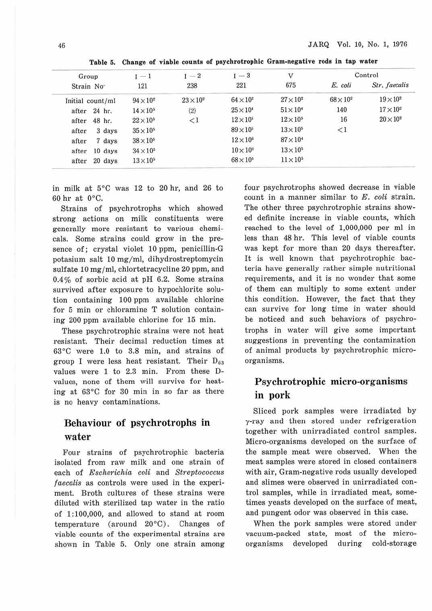| Group                  | $I - 1$          | $I-2$          | $I-3$            | $\mathbf{V}$       | Control          |                |  |
|------------------------|------------------|----------------|------------------|--------------------|------------------|----------------|--|
| Strain No <sup>.</sup> | 121              | 238            | 221              | 675                | E. coli          | Str. faecalis  |  |
| Initial count/ml       | $94\times10^2$   | $23\times10^2$ | $64\times10^2$   | $27\times10^2$     | $68\times10^{2}$ | $19\times10^2$ |  |
| 24 hr.<br>after        | $14\times10^{5}$ | (2)            | $25\times10^4$   | $51 \times 10^{4}$ | 140              | $17\times10^2$ |  |
| 48 hr.<br>after        | $22\times10^5$   | $\lt 1$        | $12\times10^{5}$ | $12\times105$      | 16               | $20\times10^2$ |  |
| 3 days<br>after        | $35\times10^{5}$ |                | $89\times10^{5}$ | $13\times10^{5}$   | ${<}1$           |                |  |
| 7 days<br>after        | $38\times10^{5}$ |                | $12\times10^6$   | $87\times10^{4}$   |                  |                |  |
| 10 days<br>after       | $34\times10^{5}$ |                | $10\times10^{6}$ | $13\times10^{5}$   |                  |                |  |
| 20 days<br>after       | $13\times10^{5}$ |                | $68\times10^{5}$ | $11\times10^{5}$   |                  |                |  |

**Table** 5. **Change of viable counts of psychrotrophic Gram-negative rods in tap water** 

in milk at 5°C was 12 to 20 hr, and 26 to 60 hr at 0°C.

Strains of psychrotrophs which showed strong actions on milk constituents were generally more resistant to various chemicals. Some strains could grow in the presence of; crystal violet 10 ppm, penicillin-G potasium salt 10 mg/ml, dihydrostreptomycin sulfate 10 mg/ml, chlortetracycline 20 ppm, and 0.4% of sorbic acid at pH 6.2. Some strains survived after exposure to hypochlorite solution containing 100 ppm available chlorine for 5 min or chloramine T solution containing 200 ppm available chlorine for 15 min.

These psychrotrophic strains were not heat resistant. Their decimal reduction times at 63°C were 1.0 to 3.8 min, and strains of group I were less heat resistant. Their  $D_{63}$ values were 1 to 2.3 min. From these Dvalues, none of them will survive for heating at 63°C for 30 min in so far as there is no heavy contaminations.

## Behaviour of psychrotrophs in water

Four strains of psychrotrophic bacteria isolated from raw milk and one strain of each of *Escherichia coli* and *Streptococcus*  f *aecalis* as controls were used in the experiment. Broth cultures of these strains were diluted with sterilized tap water in the ratio of 1 :100,000, and allowed to stand at room temperature (around 20°C). Changes of viable counts of the experimental strains are shown in Table 5. Only one strain among four psychrotrophs showed decrease in viable count in a manner similar to *E. coli* strain. The other three psychrotrophic strains showed definite increase in viable counts, which reached to the level of 1,000,000 per ml in less than 48 hr. This level of viable counts was kept for more than 20 days thereafter. It is well known that psychrotrophic bacteria have generally rather simple nutritional requirements, and it is no wonder that some of them can multiply to some extent under this condition. However, the fact that they can survive for long time in water should be noticed and such behaviors of psychrotrophs in water will give some important suggestions in preventing the contamination of animal products by psychrotrophic microorganisms.

## **Psychrotrophic micro-organisms in pork**

Sliced pork samples were irradiated by y-ray and then stored under refrigeration together with unirradiated control samples. Micro-organisms developed on the surface of the sample meat were observed. When the meat samples were stored in closed containers with air, Gram-negative rods usually developed and slimes were observed in unirradiated control samples, while in irradiated meat, sometimes yeasts developed on the surface of meat, and pungent odor was observed in this case.

When the pork samples were stored under vacuum-packed state, most of the microorganisms developed during cold-storage